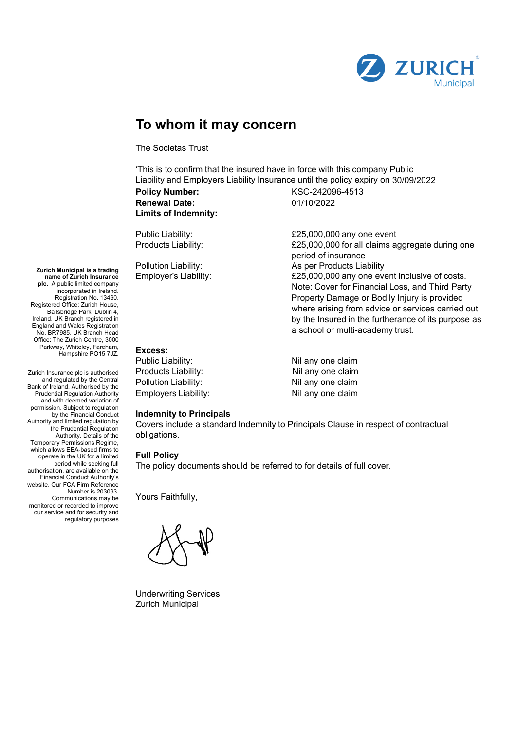

# **To whom it may concern**

The Societas Trust

'This is to confirm that the insured have in force with this company Public Liability and Employers Liability Insurance until the policy expiry on 30/09/2022

**Policy Number:** KSC-242096-4513 **Renewal Date:** 01/10/2022 **Limits of Indemnity:**

Public Liability:  $£25,000,000$  any one event Products Liability:  $£25,000,000$  for all claims aggregate during one period of insurance Pollution Liability: As per Products Liability Employer's Liability: £25,000,000 any one event inclusive of costs. Note: Cover for Financial Loss, and Third Party Property Damage or Bodily Injury is provided where arising from advice or services carried out by the Insured in the furtherance of its purpose as a school or multi-academy trust.

## **Excess:**

| Public Liability: l  | Nil any one claim |
|----------------------|-------------------|
| Products Liability:  | Nil any one claim |
| Pollution Liability: | Nil any one claim |
| Employers Liability: | Nil any one claim |

#### **Indemnity to Principals**

Covers include a standard Indemnity to Principals Clause in respect of contractual obligations.

## **Full Policy**

The policy documents should be referred to for details of full cover.

Yours Faithfully,

Underwriting Services Zurich Municipal

**Zurich Municipal is a trading name of Zurich Insurance plc.** A public limited company incorporated in Ireland. Registration No. 13460. Registered Office: Zurich House, Ballsbridge Park, Dublin 4, Ireland. UK Branch registered in England and Wales Registration No. BR7985. UK Branch Head Office: The Zurich Centre, 3000 Parkway, Whiteley, Fareham, Hampshire PO15 7JZ.

Zurich Insurance plc is authorised and regulated by the Central Bank of Ireland. Authorised by the Prudential Regulation Authority and with deemed variation of permission. Subject to regulation by the Financial Conduct Authority and limited regulation by the Prudential Regulation Authority. Details of the Temporary Permissions Regime, which allows EEA-based firms to operate in the UK for a limited period while seeking full authorisation, are available on the Financial Conduct Authority's website. Our FCA Firm Reference Number is 203093. Communications may be monitored or recorded to improve our service and for security and regulatory purposes